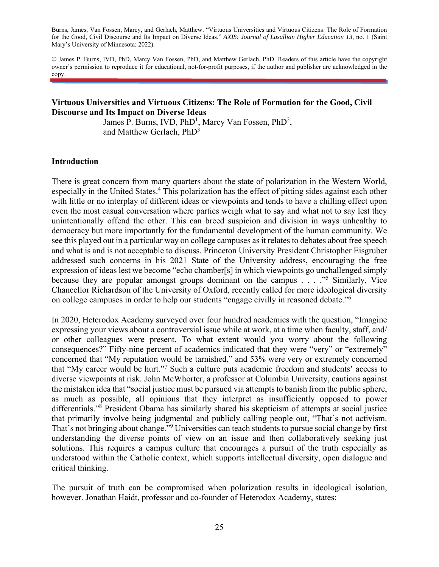Burns, James, Van Fossen, Marcy, and Gerlach, Matthew. "Virtuous Universities and Virtuous Citizens: The Role of Formation for the Good, Civil Discourse and Its Impact on Diverse Ideas." *AXIS: Journal of Lasallian Higher Education 13*, no. 1 (Saint Mary's University of Minnesota: 2022).

© James P. Burns, IVD, PhD, Marcy Van Fossen, PhD, and Matthew Gerlach, PhD. Readers of this article have the copyright owner's permission to reproduce it for educational, not-for-profit purposes, if the author and publisher are acknowledged in the copy.

### **Virtuous Universities and Virtuous Citizens: The Role of Formation for the Good, Civil Discourse and Its Impact on Diverse Ideas**

James P. Burns, IVD,  $PhD<sup>1</sup>$ , Marcy Van Fossen,  $PhD<sup>2</sup>$ , and Matthew Gerlach, PhD<sup>3</sup>

#### **Introduction**

There is great concern from many quarters about the state of polarization in the Western World, especially in the United States.<sup>4</sup> This polarization has the effect of pitting sides against each other with little or no interplay of different ideas or viewpoints and tends to have a chilling effect upon even the most casual conversation where parties weigh what to say and what not to say lest they unintentionally offend the other. This can breed suspicion and division in ways unhealthy to democracy but more importantly for the fundamental development of the human community. We see this played out in a particular way on college campuses as it relates to debates about free speech and what is and is not acceptable to discuss. Princeton University President Christopher Eisgruber addressed such concerns in his 2021 State of the University address, encouraging the free expression of ideas lest we become "echo chamber[s] in which viewpoints go unchallenged simply because they are popular amongst groups dominant on the campus  $\ldots$   $\cdot$ <sup>5</sup> Similarly, Vice Chancellor Richardson of the University of Oxford, recently called for more ideological diversity on college campuses in order to help our students "engage civilly in reasoned debate."6

In 2020, Heterodox Academy surveyed over four hundred academics with the question, "Imagine expressing your views about a controversial issue while at work, at a time when faculty, staff, and/ or other colleagues were present. To what extent would you worry about the following consequences?" Fifty-nine percent of academics indicated that they were "very" or "extremely" concerned that "My reputation would be tarnished," and 53% were very or extremely concerned that "My career would be hurt."<sup>7</sup> Such a culture puts academic freedom and students' access to diverse viewpoints at risk. John McWhorter, a professor at Columbia University, cautions against the mistaken idea that "social justice must be pursued via attempts to banish from the public sphere, as much as possible, all opinions that they interpret as insufficiently opposed to power differentials."8 President Obama has similarly shared his skepticism of attempts at social justice that primarily involve being judgmental and publicly calling people out, "That's not activism. That's not bringing about change."<sup>9</sup> Universities can teach students to pursue social change by first understanding the diverse points of view on an issue and then collaboratively seeking just solutions. This requires a campus culture that encourages a pursuit of the truth especially as understood within the Catholic context, which supports intellectual diversity, open dialogue and critical thinking.

The pursuit of truth can be compromised when polarization results in ideological isolation, however. Jonathan Haidt, professor and co-founder of Heterodox Academy, states: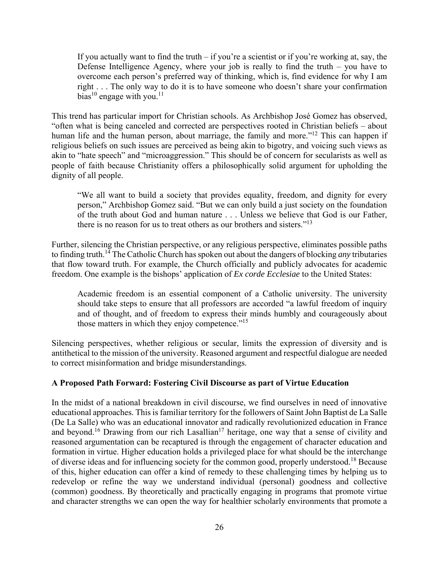If you actually want to find the truth – if you're a scientist or if you're working at, say, the Defense Intelligence Agency, where your job is really to find the truth – you have to overcome each person's preferred way of thinking, which is, find evidence for why I am right . . . The only way to do it is to have someone who doesn't share your confirmation bias<sup>10</sup> engage with you.<sup>11</sup>

This trend has particular import for Christian schools. As Archbishop José Gomez has observed, "often what is being canceled and corrected are perspectives rooted in Christian beliefs – about human life and the human person, about marriage, the family and more."<sup>12</sup> This can happen if religious beliefs on such issues are perceived as being akin to bigotry, and voicing such views as akin to "hate speech" and "microaggression." This should be of concern for secularists as well as people of faith because Christianity offers a philosophically solid argument for upholding the dignity of all people.

"We all want to build a society that provides equality, freedom, and dignity for every person," Archbishop Gomez said. "But we can only build a just society on the foundation of the truth about God and human nature . . . Unless we believe that God is our Father, there is no reason for us to treat others as our brothers and sisters."<sup>13</sup>

Further, silencing the Christian perspective, or any religious perspective, eliminates possible paths to finding truth.14 The Catholic Church has spoken out about the dangers of blocking *any* tributaries that flow toward truth. For example, the Church officially and publicly advocates for academic freedom. One example is the bishops' application of *Ex corde Ecclesiae* to the United States:

Academic freedom is an essential component of a Catholic university. The university should take steps to ensure that all professors are accorded "a lawful freedom of inquiry and of thought, and of freedom to express their minds humbly and courageously about those matters in which they enjoy competence."<sup>15</sup>

Silencing perspectives, whether religious or secular, limits the expression of diversity and is antithetical to the mission of the university. Reasoned argument and respectful dialogue are needed to correct misinformation and bridge misunderstandings.

## **A Proposed Path Forward: Fostering Civil Discourse as part of Virtue Education**

In the midst of a national breakdown in civil discourse, we find ourselves in need of innovative educational approaches. This is familiar territory for the followers of Saint John Baptist de La Salle (De La Salle) who was an educational innovator and radically revolutionized education in France and beyond.<sup>16</sup> Drawing from our rich Lasallian<sup>17</sup> heritage, one way that a sense of civility and reasoned argumentation can be recaptured is through the engagement of character education and formation in virtue. Higher education holds a privileged place for what should be the interchange of diverse ideas and for influencing society for the common good, properly understood.18 Because of this, higher education can offer a kind of remedy to these challenging times by helping us to redevelop or refine the way we understand individual (personal) goodness and collective (common) goodness. By theoretically and practically engaging in programs that promote virtue and character strengths we can open the way for healthier scholarly environments that promote a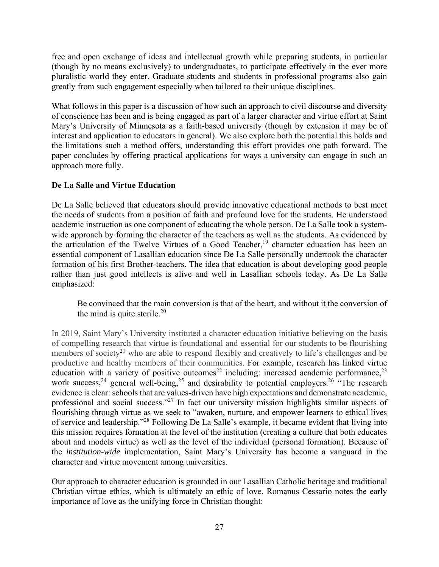free and open exchange of ideas and intellectual growth while preparing students, in particular (though by no means exclusively) to undergraduates, to participate effectively in the ever more pluralistic world they enter. Graduate students and students in professional programs also gain greatly from such engagement especially when tailored to their unique disciplines.

What follows in this paper is a discussion of how such an approach to civil discourse and diversity of conscience has been and is being engaged as part of a larger character and virtue effort at Saint Mary's University of Minnesota as a faith-based university (though by extension it may be of interest and application to educators in general). We also explore both the potential this holds and the limitations such a method offers, understanding this effort provides one path forward. The paper concludes by offering practical applications for ways a university can engage in such an approach more fully.

# **De La Salle and Virtue Education**

De La Salle believed that educators should provide innovative educational methods to best meet the needs of students from a position of faith and profound love for the students. He understood academic instruction as one component of educating the whole person. De La Salle took a systemwide approach by forming the character of the teachers as well as the students. As evidenced by the articulation of the Twelve Virtues of a Good Teacher,<sup>19</sup> character education has been an essential component of Lasallian education since De La Salle personally undertook the character formation of his first Brother-teachers. The idea that education is about developing good people rather than just good intellects is alive and well in Lasallian schools today. As De La Salle emphasized:

Be convinced that the main conversion is that of the heart, and without it the conversion of the mind is quite sterile.<sup>20</sup>

In 2019, Saint Mary's University instituted a character education initiative believing on the basis of compelling research that virtue is foundational and essential for our students to be flourishing members of society<sup>21</sup> who are able to respond flexibly and creatively to life's challenges and be productive and healthy members of their communities. For example, research has linked virtue education with a variety of positive outcomes<sup>22</sup> including: increased academic performance,<sup>23</sup> work success,  $24$  general well-being,  $25$  and desirability to potential employers.  $26$  "The research" evidence is clear: schools that are values-driven have high expectations and demonstrate academic, professional and social success."27 In fact our university mission highlights similar aspects of flourishing through virtue as we seek to "awaken, nurture, and empower learners to ethical lives of service and leadership."28 Following De La Salle's example, it became evident that living into this mission requires formation at the level of the institution (creating a culture that both educates about and models virtue) as well as the level of the individual (personal formation). Because of the *institution-wide* implementation, Saint Mary's University has become a vanguard in the character and virtue movement among universities.

Our approach to character education is grounded in our Lasallian Catholic heritage and traditional Christian virtue ethics, which is ultimately an ethic of love. Romanus Cessario notes the early importance of love as the unifying force in Christian thought: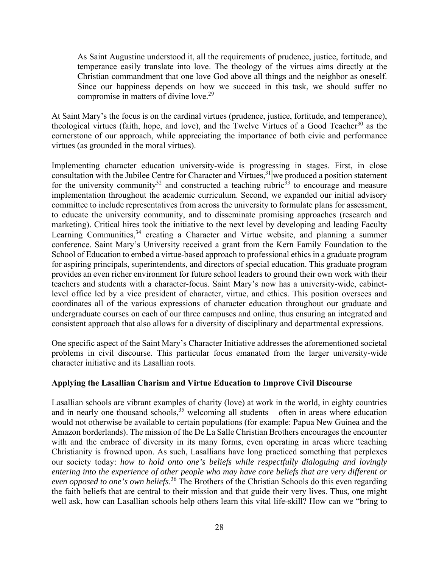As Saint Augustine understood it, all the requirements of prudence, justice, fortitude, and temperance easily translate into love. The theology of the virtues aims directly at the Christian commandment that one love God above all things and the neighbor as oneself. Since our happiness depends on how we succeed in this task, we should suffer no compromise in matters of divine love.29

At Saint Mary's the focus is on the cardinal virtues (prudence, justice, fortitude, and temperance), theological virtues (faith, hope, and love), and the Twelve Virtues of a Good Teacher<sup>30</sup> as the cornerstone of our approach, while appreciating the importance of both civic and performance virtues (as grounded in the moral virtues).

Implementing character education university-wide is progressing in stages. First, in close consultation with the Jubilee Centre for Character and Virtues,  $31$  we produced a position statement for the university community<sup>32</sup> and constructed a teaching rubric<sup>33</sup> to encourage and measure implementation throughout the academic curriculum. Second, we expanded our initial advisory committee to include representatives from across the university to formulate plans for assessment, to educate the university community, and to disseminate promising approaches (research and marketing). Critical hires took the initiative to the next level by developing and leading Faculty Learning Communities,<sup>34</sup> creating a Character and Virtue website, and planning a summer conference. Saint Mary's University received a grant from the Kern Family Foundation to the School of Education to embed a virtue-based approach to professional ethics in a graduate program for aspiring principals, superintendents, and directors of special education. This graduate program provides an even richer environment for future school leaders to ground their own work with their teachers and students with a character-focus. Saint Mary's now has a university-wide, cabinetlevel office led by a vice president of character, virtue, and ethics. This position oversees and coordinates all of the various expressions of character education throughout our graduate and undergraduate courses on each of our three campuses and online, thus ensuring an integrated and consistent approach that also allows for a diversity of disciplinary and departmental expressions.

One specific aspect of the Saint Mary's Character Initiative addresses the aforementioned societal problems in civil discourse. This particular focus emanated from the larger university-wide character initiative and its Lasallian roots.

### **Applying the Lasallian Charism and Virtue Education to Improve Civil Discourse**

Lasallian schools are vibrant examples of charity (love) at work in the world, in eighty countries and in nearly one thousand schools,  $35$  welcoming all students – often in areas where education would not otherwise be available to certain populations (for example: Papua New Guinea and the Amazon borderlands). The mission of the De La Salle Christian Brothers encourages the encounter with and the embrace of diversity in its many forms, even operating in areas where teaching Christianity is frowned upon. As such, Lasallians have long practiced something that perplexes our society today: *how to hold onto one's beliefs while respectfully dialoguing and lovingly entering into the experience of other people who may have core beliefs that are very different or even opposed to one's own beliefs*. 36 The Brothers of the Christian Schools do this even regarding the faith beliefs that are central to their mission and that guide their very lives. Thus, one might well ask, how can Lasallian schools help others learn this vital life-skill? How can we "bring to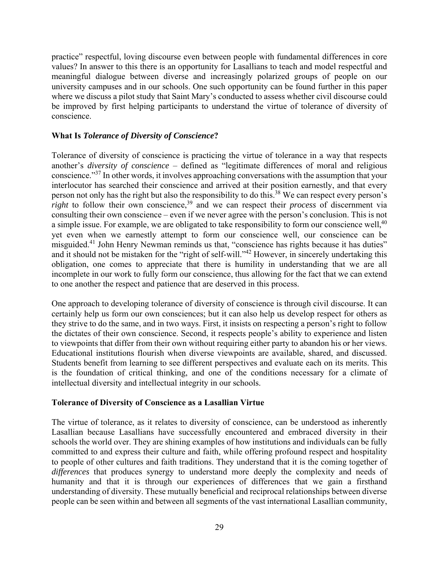practice" respectful, loving discourse even between people with fundamental differences in core values? In answer to this there is an opportunity for Lasallians to teach and model respectful and meaningful dialogue between diverse and increasingly polarized groups of people on our university campuses and in our schools. One such opportunity can be found further in this paper where we discuss a pilot study that Saint Mary's conducted to assess whether civil discourse could be improved by first helping participants to understand the virtue of tolerance of diversity of conscience.

### **What Is** *Tolerance of Diversity of Conscience***?**

Tolerance of diversity of conscience is practicing the virtue of tolerance in a way that respects another's *diversity of conscience* – defined as "legitimate differences of moral and religious conscience."37 In other words, it involves approaching conversations with the assumption that your interlocutor has searched their conscience and arrived at their position earnestly, and that every person not only has the right but also the responsibility to do this.38 We can respect every person's *right* to follow their own conscience,<sup>39</sup> and we can respect their *process* of discernment via consulting their own conscience – even if we never agree with the person's conclusion. This is not a simple issue. For example, we are obligated to take responsibility to form our conscience well,<sup>40</sup> yet even when we earnestly attempt to form our conscience well, our conscience can be misguided.<sup>41</sup> John Henry Newman reminds us that, "conscience has rights because it has duties" and it should not be mistaken for the "right of self-will."<sup>42</sup> However, in sincerely undertaking this obligation, one comes to appreciate that there is humility in understanding that we are all incomplete in our work to fully form our conscience, thus allowing for the fact that we can extend to one another the respect and patience that are deserved in this process.

One approach to developing tolerance of diversity of conscience is through civil discourse. It can certainly help us form our own consciences; but it can also help us develop respect for others as they strive to do the same, and in two ways. First, it insists on respecting a person's right to follow the dictates of their own conscience. Second, it respects people's ability to experience and listen to viewpoints that differ from their own without requiring either party to abandon his or her views. Educational institutions flourish when diverse viewpoints are available, shared, and discussed. Students benefit from learning to see different perspectives and evaluate each on its merits. This is the foundation of critical thinking, and one of the conditions necessary for a climate of intellectual diversity and intellectual integrity in our schools.

### **Tolerance of Diversity of Conscience as a Lasallian Virtue**

The virtue of tolerance, as it relates to diversity of conscience, can be understood as inherently Lasallian because Lasallians have successfully encountered and embraced diversity in their schools the world over. They are shining examples of how institutions and individuals can be fully committed to and express their culture and faith, while offering profound respect and hospitality to people of other cultures and faith traditions. They understand that it is the coming together of *differences* that produces synergy to understand more deeply the complexity and needs of humanity and that it is through our experiences of differences that we gain a firsthand understanding of diversity. These mutually beneficial and reciprocal relationships between diverse people can be seen within and between all segments of the vast international Lasallian community,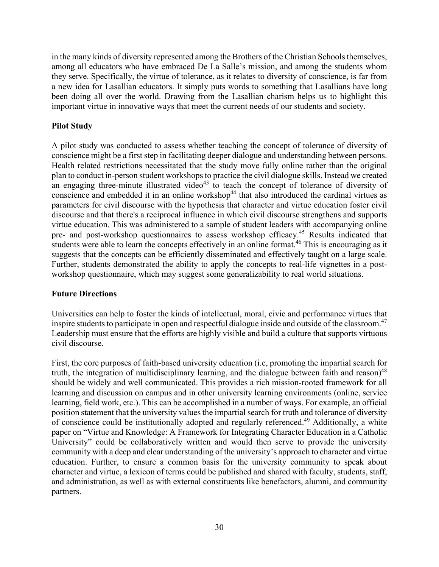in the many kinds of diversity represented among the Brothers of the Christian Schools themselves, among all educators who have embraced De La Salle's mission, and among the students whom they serve. Specifically, the virtue of tolerance, as it relates to diversity of conscience, is far from a new idea for Lasallian educators. It simply puts words to something that Lasallians have long been doing all over the world. Drawing from the Lasallian charism helps us to highlight this important virtue in innovative ways that meet the current needs of our students and society.

## **Pilot Study**

A pilot study was conducted to assess whether teaching the concept of tolerance of diversity of conscience might be a first step in facilitating deeper dialogue and understanding between persons. Health related restrictions necessitated that the study move fully online rather than the original plan to conduct in-person student workshops to practice the civil dialogue skills. Instead we created an engaging three-minute illustrated video $43$  to teach the concept of tolerance of diversity of conscience and embedded it in an online workshop<sup>44</sup> that also introduced the cardinal virtues as parameters for civil discourse with the hypothesis that character and virtue education foster civil discourse and that there's a reciprocal influence in which civil discourse strengthens and supports virtue education. This was administered to a sample of student leaders with accompanying online pre- and post-workshop questionnaires to assess workshop efficacy.<sup>45</sup> Results indicated that students were able to learn the concepts effectively in an online format.<sup>46</sup> This is encouraging as it suggests that the concepts can be efficiently disseminated and effectively taught on a large scale. Further, students demonstrated the ability to apply the concepts to real-life vignettes in a postworkshop questionnaire, which may suggest some generalizability to real world situations.

### **Future Directions**

Universities can help to foster the kinds of intellectual, moral, civic and performance virtues that inspire students to participate in open and respectful dialogue inside and outside of the classroom.<sup>47</sup> Leadership must ensure that the efforts are highly visible and build a culture that supports virtuous civil discourse.

First, the core purposes of faith-based university education (i.e, promoting the impartial search for truth, the integration of multidisciplinary learning, and the dialogue between faith and reason)<sup>48</sup> should be widely and well communicated. This provides a rich mission-rooted framework for all learning and discussion on campus and in other university learning environments (online, service learning, field work, etc.). This can be accomplished in a number of ways. For example, an official position statement that the university values the impartial search for truth and tolerance of diversity of conscience could be institutionally adopted and regularly referenced.<sup>49</sup> Additionally, a white paper on "Virtue and Knowledge: A Framework for Integrating Character Education in a Catholic University" could be collaboratively written and would then serve to provide the university community with a deep and clear understanding of the university's approach to character and virtue education. Further, to ensure a common basis for the university community to speak about character and virtue, a lexicon of terms could be published and shared with faculty, students, staff, and administration, as well as with external constituents like benefactors, alumni, and community partners.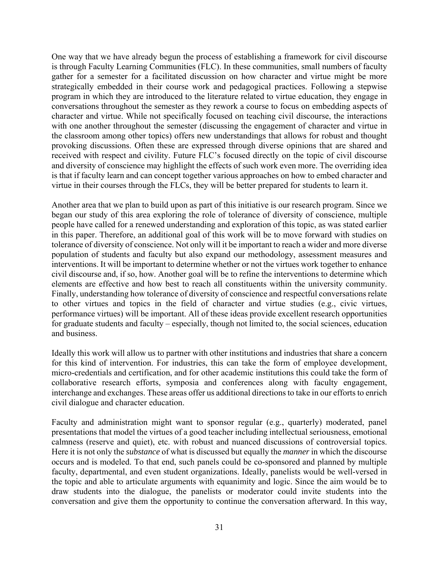One way that we have already begun the process of establishing a framework for civil discourse is through Faculty Learning Communities (FLC). In these communities, small numbers of faculty gather for a semester for a facilitated discussion on how character and virtue might be more strategically embedded in their course work and pedagogical practices. Following a stepwise program in which they are introduced to the literature related to virtue education, they engage in conversations throughout the semester as they rework a course to focus on embedding aspects of character and virtue. While not specifically focused on teaching civil discourse, the interactions with one another throughout the semester (discussing the engagement of character and virtue in the classroom among other topics) offers new understandings that allows for robust and thought provoking discussions. Often these are expressed through diverse opinions that are shared and received with respect and civility. Future FLC's focused directly on the topic of civil discourse and diversity of conscience may highlight the effects of such work even more. The overriding idea is that if faculty learn and can concept together various approaches on how to embed character and virtue in their courses through the FLCs, they will be better prepared for students to learn it.

Another area that we plan to build upon as part of this initiative is our research program. Since we began our study of this area exploring the role of tolerance of diversity of conscience, multiple people have called for a renewed understanding and exploration of this topic, as was stated earlier in this paper. Therefore, an additional goal of this work will be to move forward with studies on tolerance of diversity of conscience. Not only will it be important to reach a wider and more diverse population of students and faculty but also expand our methodology, assessment measures and interventions. It will be important to determine whether or not the virtues work together to enhance civil discourse and, if so, how. Another goal will be to refine the interventions to determine which elements are effective and how best to reach all constituents within the university community. Finally, understanding how tolerance of diversity of conscience and respectful conversations relate to other virtues and topics in the field of character and virtue studies (e.g., civic virtues, performance virtues) will be important. All of these ideas provide excellent research opportunities for graduate students and faculty – especially, though not limited to, the social sciences, education and business.

Ideally this work will allow us to partner with other institutions and industries that share a concern for this kind of intervention. For industries, this can take the form of employee development, micro-credentials and certification, and for other academic institutions this could take the form of collaborative research efforts, symposia and conferences along with faculty engagement, interchange and exchanges. These areas offer us additional directions to take in our efforts to enrich civil dialogue and character education.

Faculty and administration might want to sponsor regular (e.g., quarterly) moderated, panel presentations that model the virtues of a good teacher including intellectual seriousness, emotional calmness (reserve and quiet), etc. with robust and nuanced discussions of controversial topics. Here it is not only the *substance* of what is discussed but equally the *manner* in which the discourse occurs and is modeled. To that end, such panels could be co-sponsored and planned by multiple faculty, departmental, and even student organizations. Ideally, panelists would be well-versed in the topic and able to articulate arguments with equanimity and logic. Since the aim would be to draw students into the dialogue, the panelists or moderator could invite students into the conversation and give them the opportunity to continue the conversation afterward. In this way,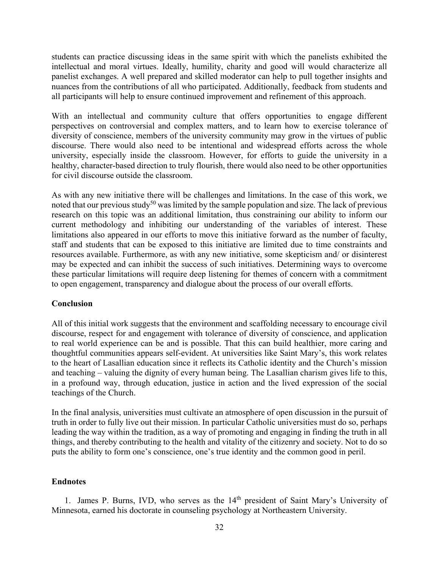students can practice discussing ideas in the same spirit with which the panelists exhibited the intellectual and moral virtues. Ideally, humility, charity and good will would characterize all panelist exchanges. A well prepared and skilled moderator can help to pull together insights and nuances from the contributions of all who participated. Additionally, feedback from students and all participants will help to ensure continued improvement and refinement of this approach.

With an intellectual and community culture that offers opportunities to engage different perspectives on controversial and complex matters, and to learn how to exercise tolerance of diversity of conscience, members of the university community may grow in the virtues of public discourse. There would also need to be intentional and widespread efforts across the whole university, especially inside the classroom. However, for efforts to guide the university in a healthy, character-based direction to truly flourish, there would also need to be other opportunities for civil discourse outside the classroom.

As with any new initiative there will be challenges and limitations. In the case of this work, we noted that our previous study<sup>50</sup> was limited by the sample population and size. The lack of previous research on this topic was an additional limitation, thus constraining our ability to inform our current methodology and inhibiting our understanding of the variables of interest. These limitations also appeared in our efforts to move this initiative forward as the number of faculty, staff and students that can be exposed to this initiative are limited due to time constraints and resources available. Furthermore, as with any new initiative, some skepticism and/ or disinterest may be expected and can inhibit the success of such initiatives. Determining ways to overcome these particular limitations will require deep listening for themes of concern with a commitment to open engagement, transparency and dialogue about the process of our overall efforts.

#### **Conclusion**

All of this initial work suggests that the environment and scaffolding necessary to encourage civil discourse, respect for and engagement with tolerance of diversity of conscience, and application to real world experience can be and is possible. That this can build healthier, more caring and thoughtful communities appears self-evident. At universities like Saint Mary's, this work relates to the heart of Lasallian education since it reflects its Catholic identity and the Church's mission and teaching – valuing the dignity of every human being. The Lasallian charism gives life to this, in a profound way, through education, justice in action and the lived expression of the social teachings of the Church.

In the final analysis, universities must cultivate an atmosphere of open discussion in the pursuit of truth in order to fully live out their mission. In particular Catholic universities must do so, perhaps leading the way within the tradition, as a way of promoting and engaging in finding the truth in all things, and thereby contributing to the health and vitality of the citizenry and society. Not to do so puts the ability to form one's conscience, one's true identity and the common good in peril.

#### **Endnotes**

1. James P. Burns, IVD, who serves as the 14<sup>th</sup> president of Saint Mary's University of Minnesota, earned his doctorate in counseling psychology at Northeastern University.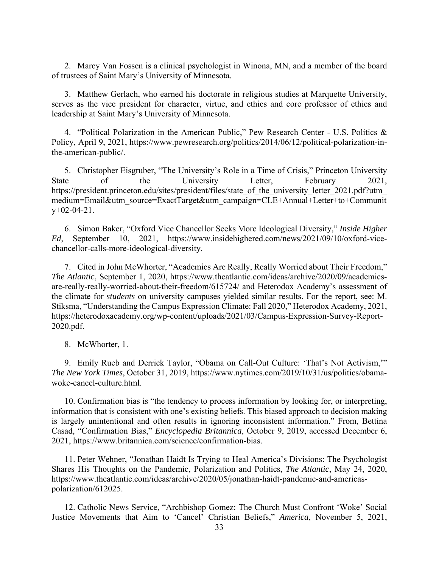2. Marcy Van Fossen is a clinical psychologist in Winona, MN, and a member of the board of trustees of Saint Mary's University of Minnesota.

3. Matthew Gerlach, who earned his doctorate in religious studies at Marquette University, serves as the vice president for character, virtue, and ethics and core professor of ethics and leadership at Saint Mary's University of Minnesota.

4. "Political Polarization in the American Public," Pew Research Center - U.S. Politics & Policy, April 9, 2021, https://www.pewresearch.org/politics/2014/06/12/political-polarization-inthe-american-public/.

5. Christopher Eisgruber, "The University's Role in a Time of Crisis," Princeton University State of the University Letter, February 2021, https://president.princeton.edu/sites/president/files/state of the university letter 2021.pdf?utm medium=Email&utm\_source=ExactTarget&utm\_campaign=CLE+Annual+Letter+to+Communit y+02-04-21.

6. Simon Baker, "Oxford Vice Chancellor Seeks More Ideological Diversity," *Inside Higher Ed*, September 10, 2021, https://www.insidehighered.com/news/2021/09/10/oxford-vicechancellor-calls-more-ideological-diversity.

7. Cited in John McWhorter, "Academics Are Really, Really Worried about Their Freedom," *The Atlantic*, September 1, 2020, https://www.theatlantic.com/ideas/archive/2020/09/academicsare-really-really-worried-about-their-freedom/615724/ and Heterodox Academy's assessment of the climate for *students* on university campuses yielded similar results. For the report, see: M. Stiksma, "Understanding the Campus Expression Climate: Fall 2020," Heterodox Academy, 2021, https://heterodoxacademy.org/wp-content/uploads/2021/03/Campus-Expression-Survey-Report-2020.pdf.

8. McWhorter, 1.

9. Emily Rueb and Derrick Taylor, "Obama on Call-Out Culture: 'That's Not Activism,'" *The New York Times*, October 31, 2019, https://www.nytimes.com/2019/10/31/us/politics/obamawoke-cancel-culture.html.

10. Confirmation bias is "the tendency to process information by looking for, or interpreting, information that is consistent with one's existing beliefs. This biased approach to decision making is largely unintentional and often results in ignoring inconsistent information." From, Bettina Casad, "Confirmation Bias," *Encyclopedia Britannica*, October 9, 2019, accessed December 6, 2021, https://www.britannica.com/science/confirmation-bias.

11. Peter Wehner, "Jonathan Haidt Is Trying to Heal America's Divisions: The Psychologist Shares His Thoughts on the Pandemic, Polarization and Politics, *The Atlantic*, May 24, 2020, https://www.theatlantic.com/ideas/archive/2020/05/jonathan-haidt-pandemic-and-americaspolarization/612025.

12. Catholic News Service, "Archbishop Gomez: The Church Must Confront 'Woke' Social Justice Movements that Aim to 'Cancel' Christian Beliefs," *America*, November 5, 2021,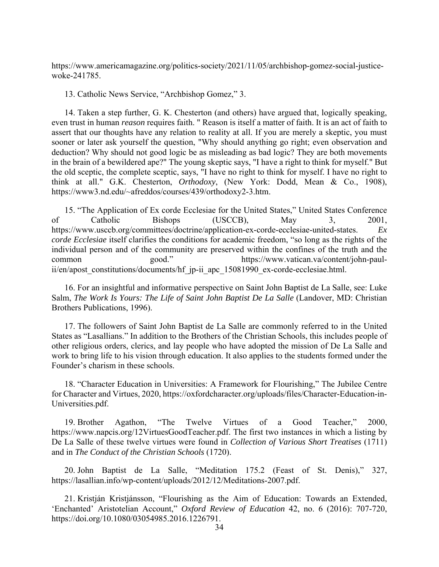https://www.americamagazine.org/politics-society/2021/11/05/archbishop-gomez-social-justicewoke-241785.

13. Catholic News Service, "Archbishop Gomez," 3.

14. Taken a step further, G. K. Chesterton (and others) have argued that, logically speaking, even trust in human *reason* requires faith. " Reason is itself a matter of faith. It is an act of faith to assert that our thoughts have any relation to reality at all. If you are merely a skeptic, you must sooner or later ask yourself the question, "Why should anything go right; even observation and deduction? Why should not good logic be as misleading as bad logic? They are both movements in the brain of a bewildered ape?" The young skeptic says, "I have a right to think for myself." But the old sceptic, the complete sceptic, says, "I have no right to think for myself. I have no right to think at all." G.K. Chesterton, *Orthodoxy*, (New York: Dodd, Mean & Co., 1908), https://www3.nd.edu/~afreddos/courses/439/orthodoxy2-3.htm.

15. "The Application of Ex corde Ecclesiae for the United States," United States Conference of Catholic Bishops (USCCB), May 3, 2001, https://www.usccb.org/committees/doctrine/application-ex-corde-ecclesiae-united-states. *Ex corde Ecclesiae* itself clarifies the conditions for academic freedom, "so long as the rights of the individual person and of the community are preserved within the confines of the truth and the common good." https://www.vatican.va/content/john-paulii/en/apost constitutions/documents/hf jp-ii apc 15081990 ex-corde-ecclesiae.html.

16. For an insightful and informative perspective on Saint John Baptist de La Salle, see: Luke Salm, *The Work Is Yours: The Life of Saint John Baptist De La Salle* (Landover, MD: Christian Brothers Publications, 1996).

17. The followers of Saint John Baptist de La Salle are commonly referred to in the United States as "Lasallians." In addition to the Brothers of the Christian Schools, this includes people of other religious orders, clerics, and lay people who have adopted the mission of De La Salle and work to bring life to his vision through education. It also applies to the students formed under the Founder's charism in these schools.

18. "Character Education in Universities: A Framework for Flourishing," The Jubilee Centre for Character and Virtues, 2020, https://oxfordcharacter.org/uploads/files/Character-Education-in-Universities.pdf.

19. Brother Agathon, "The Twelve Virtues of a Good Teacher," 2000, https://www.napcis.org/12VirtuesGoodTeacher.pdf. The first two instances in which a listing by De La Salle of these twelve virtues were found in *Collection of Various Short Treatises* (1711) and in *The Conduct of the Christian Schools* (1720).

20. John Baptist de La Salle, "Meditation 175.2 (Feast of St. Denis)," 327, https://lasallian.info/wp-content/uploads/2012/12/Meditations-2007.pdf.

21. Kristján Kristjánsson, "Flourishing as the Aim of Education: Towards an Extended, 'Enchanted' Aristotelian Account," *Oxford Review of Education* 42, no. 6 (2016): 707-720, https://doi.org/10.1080/03054985.2016.1226791.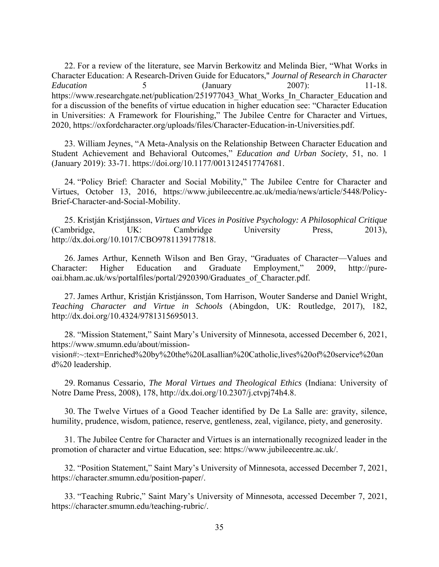22. For a review of the literature, see Marvin Berkowitz and Melinda Bier, "What Works in Character Education: A Research-Driven Guide for Educators," *Journal of Research in Character Education* 5 (January 2007): 11-18. https://www.researchgate.net/publication/251977043 What Works In Character Education and for a discussion of the benefits of virtue education in higher education see: "Character Education in Universities: A Framework for Flourishing," The Jubilee Centre for Character and Virtues, 2020, https://oxfordcharacter.org/uploads/files/Character-Education-in-Universities.pdf.

23. William Jeynes, "A Meta-Analysis on the Relationship Between Character Education and Student Achievement and Behavioral Outcomes," *Education and Urban Society*, 51, no. 1 (January 2019): 33-71. https://doi.org/10.1177/0013124517747681.

24. "Policy Brief: Character and Social Mobility," The Jubilee Centre for Character and Virtues, October 13, 2016, https://www.jubileecentre.ac.uk/media/news/article/5448/Policy-Brief-Character-and-Social-Mobility.

25. Kristján Kristjánsson, *Virtues and Vices in Positive Psychology: A Philosophical Critique*  (Cambridge, UK: Cambridge University Press, 2013), http://dx.doi.org/10.1017/CBO9781139177818.

26. James Arthur, Kenneth Wilson and Ben Gray, "Graduates of Character—Values and Character: Higher Education and Graduate Employment," 2009, http://pureoai.bham.ac.uk/ws/portalfiles/portal/2920390/Graduates\_of\_Character.pdf.

27. James Arthur, Kristján Kristjánsson, Tom Harrison, Wouter Sanderse and Daniel Wright, *Teaching Character and Virtue in Schools* (Abingdon, UK: Routledge, 2017), 182, http://dx.doi.org/10.4324/9781315695013.

28. "Mission Statement," Saint Mary's University of Minnesota, accessed December 6, 2021, https://www.smumn.edu/about/missionvision#:~:text=Enriched%20by%20the%20Lasallian%20Catholic,lives%20of%20service%20an d%20 leadership.

29. Romanus Cessario, *The Moral Virtues and Theological Ethics* (Indiana: University of Notre Dame Press, 2008), 178, http://dx.doi.org/10.2307/j.ctvpj74h4.8.

30. The Twelve Virtues of a Good Teacher identified by De La Salle are: gravity, silence, humility, prudence, wisdom, patience, reserve, gentleness, zeal, vigilance, piety, and generosity.

31. The Jubilee Centre for Character and Virtues is an internationally recognized leader in the promotion of character and virtue Education, see: https://www.jubileecentre.ac.uk/.

32. "Position Statement," Saint Mary's University of Minnesota, accessed December 7, 2021, https://character.smumn.edu/position-paper/.

33. "Teaching Rubric," Saint Mary's University of Minnesota, accessed December 7, 2021, https://character.smumn.edu/teaching-rubric/.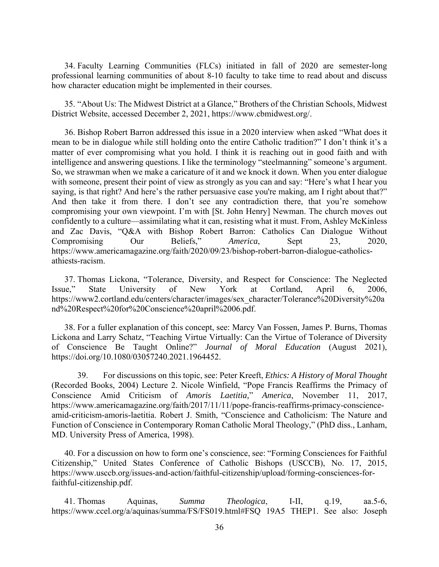34. Faculty Learning Communities (FLCs) initiated in fall of 2020 are semester-long professional learning communities of about 8-10 faculty to take time to read about and discuss how character education might be implemented in their courses.

35. "About Us: The Midwest District at a Glance," Brothers of the Christian Schools, Midwest District Website, accessed December 2, 2021, https://www.cbmidwest.org/.

36. Bishop Robert Barron addressed this issue in a 2020 interview when asked "What does it mean to be in dialogue while still holding onto the entire Catholic tradition?" I don't think it's a matter of ever compromising what you hold. I think it is reaching out in good faith and with intelligence and answering questions. I like the terminology "steelmanning" someone's argument. So, we strawman when we make a caricature of it and we knock it down. When you enter dialogue with someone, present their point of view as strongly as you can and say: "Here's what I hear you saying, is that right? And here's the rather persuasive case you're making, am I right about that?" And then take it from there. I don't see any contradiction there, that you're somehow compromising your own viewpoint. I'm with [St. John Henry] Newman. The church moves out confidently to a culture—assimilating what it can, resisting what it must. From, Ashley McKinless and Zac Davis, "Q&A with Bishop Robert Barron: Catholics Can Dialogue Without Compromising Our Beliefs," *America*, Sept 23, 2020, https://www.americamagazine.org/faith/2020/09/23/bishop-robert-barron-dialogue-catholicsathiests-racism.

37. Thomas Lickona, "Tolerance, Diversity, and Respect for Conscience: The Neglected Issue," State University of New York at Cortland, April 6, 2006, https://www2.cortland.edu/centers/character/images/sex\_character/Tolerance%20Diversity%20a nd%20Respect%20for%20Conscience%20april%2006.pdf.

38. For a fuller explanation of this concept, see: Marcy Van Fossen, James P. Burns, Thomas Lickona and Larry Schatz, "Teaching Virtue Virtually: Can the Virtue of Tolerance of Diversity of Conscience Be Taught Online?" *Journal of Moral Education* (August 2021), https://doi.org/10.1080/03057240.2021.1964452.

39. For discussions on this topic, see: Peter Kreeft, *Ethics: A History of Moral Thought* (Recorded Books, 2004) Lecture 2. Nicole Winfield, "Pope Francis Reaffirms the Primacy of Conscience Amid Criticism of *Amoris Laetitia,*" *America*, November 11, 2017, https://www.americamagazine.org/faith/2017/11/11/pope-francis-reaffirms-primacy-conscienceamid-criticism-amoris-laetitia. Robert J. Smith, "Conscience and Catholicism: The Nature and Function of Conscience in Contemporary Roman Catholic Moral Theology," (PhD diss., Lanham, MD. University Press of America, 1998).

40. For a discussion on how to form one's conscience, see: "Forming Consciences for Faithful Citizenship," United States Conference of Catholic Bishops (USCCB), No. 17, 2015, https://www.usccb.org/issues-and-action/faithful-citizenship/upload/forming-consciences-forfaithful-citizenship.pdf.

41. Thomas Aquinas, *Summa Theologica*, I-II, q.19, aa.5-6, https://www.ccel.org/a/aquinas/summa/FS/FS019.html#FSQ 19A5 THEP1. See also: Joseph